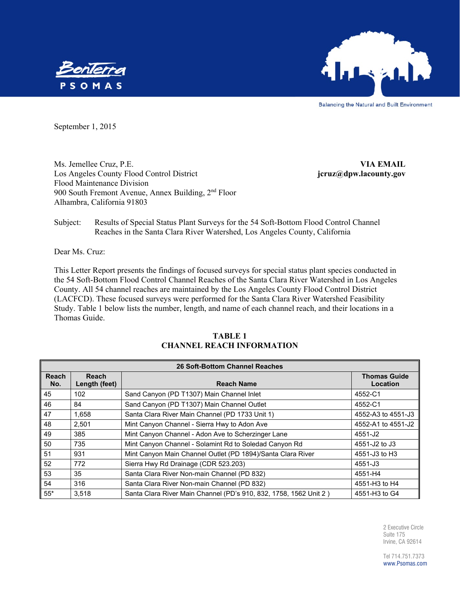



**Balancing the Natural and Built Environment** 

September 1, 2015

Ms. Jemellee Cruz, P.E. **VIA EMAIL** Los Angeles County Flood Control District **jcruz@dpw.lacounty.gov** Flood Maintenance Division 900 South Fremont Avenue, Annex Building,  $2<sup>nd</sup>$  Floor Alhambra, California 91803

Subject: Results of Special Status Plant Surveys for the 54 Soft-Bottom Flood Control Channel Reaches in the Santa Clara River Watershed, Los Angeles County, California

Dear Ms. Cruz:

This Letter Report presents the findings of focused surveys for special status plant species conducted in the 54 Soft-Bottom Flood Control Channel Reaches of the Santa Clara River Watershed in Los Angeles County. All 54 channel reaches are maintained by the Los Angeles County Flood Control District (LACFCD). These focused surveys were performed for the Santa Clara River Watershed Feasibility Study. Table 1 below lists the number, length, and name of each channel reach, and their locations in a Thomas Guide.

| <b>26 Soft-Bottom Channel Reaches</b> |                                                    |                                                                   |                    |  |  |  |  |
|---------------------------------------|----------------------------------------------------|-------------------------------------------------------------------|--------------------|--|--|--|--|
| Reach<br>No.                          | <b>Reach</b><br>Length (feet)<br><b>Reach Name</b> |                                                                   |                    |  |  |  |  |
| 45                                    | 102                                                | Sand Canyon (PD T1307) Main Channel Inlet                         | 4552-C1            |  |  |  |  |
| 46                                    | 84                                                 | Sand Canyon (PD T1307) Main Channel Outlet                        | 4552-C1            |  |  |  |  |
| 47                                    | 1,658                                              | Santa Clara River Main Channel (PD 1733 Unit 1)                   | 4552-A3 to 4551-J3 |  |  |  |  |
| 48                                    | 2.501                                              | Mint Canyon Channel - Sierra Hwy to Adon Ave                      | 4552-A1 to 4551-J2 |  |  |  |  |
| 49                                    | 385                                                | Mint Canyon Channel - Adon Ave to Scherzinger Lane                | 4551-J2            |  |  |  |  |
| 50                                    | 735                                                | Mint Canyon Channel - Solamint Rd to Soledad Canyon Rd            | 4551-J2 to J3      |  |  |  |  |
| 51                                    | 931                                                | Mint Canyon Main Channel Outlet (PD 1894)/Santa Clara River       | 4551-J3 to H3      |  |  |  |  |
| 52                                    | 772                                                | Sierra Hwy Rd Drainage (CDR 523.203)                              | 4551-J3            |  |  |  |  |
| 53                                    | 35                                                 | Santa Clara River Non-main Channel (PD 832)                       | 4551-H4            |  |  |  |  |
| 54                                    | 316                                                | Santa Clara River Non-main Channel (PD 832)                       | 4551-H3 to H4      |  |  |  |  |
| $55*$                                 | 3.518                                              | Santa Clara River Main Channel (PD's 910, 832, 1758, 1562 Unit 2) | 4551-H3 to G4      |  |  |  |  |

#### **TABLE 1 CHANNEL REACH INFORMATION**

2 Executive Circle Suite 175 Irvine, CA 92614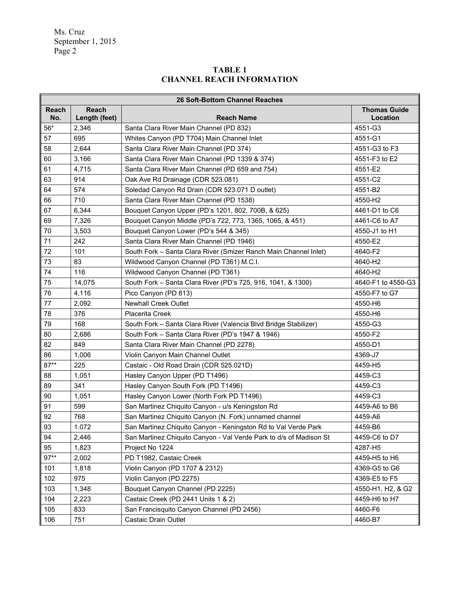## **TABLE 1 CHANNEL REACH INFORMATION**

|              | <b>26 Soft-Bottom Channel Reaches</b> |                                                                    |                                 |  |  |  |  |
|--------------|---------------------------------------|--------------------------------------------------------------------|---------------------------------|--|--|--|--|
| Reach<br>No. | <b>Reach</b><br>Length (feet)         | <b>Reach Name</b>                                                  | <b>Thomas Guide</b><br>Location |  |  |  |  |
| $56^{\star}$ | 2,346                                 | Santa Clara River Main Channel (PD 832)                            | 4551-G3                         |  |  |  |  |
| 57           | 695                                   | Whites Canyon (PD T704) Main Channel Inlet                         | 4551-G1                         |  |  |  |  |
| 58           | 2,644                                 | Santa Clara River Main Channel (PD 374)                            | 4551-G3 to F3                   |  |  |  |  |
| 60           | 3,166                                 | Santa Clara River Main Channel (PD 1339 & 374)                     | 4551-F3 to E2                   |  |  |  |  |
| 61           | 4,715                                 | Santa Clara River Main Channel (PD 659 and 754)                    | 4551-E2                         |  |  |  |  |
| 63           | 914                                   | Oak Ave Rd Drainage (CDR 523.081)                                  | 4551-C2                         |  |  |  |  |
| 64           | 574                                   | Soledad Canyon Rd Drain (CDR 523.071 D outlet)                     | 4551-B2                         |  |  |  |  |
| 66           | 710                                   | Santa Clara River Main Channel (PD 1538)                           | 4550-H2                         |  |  |  |  |
| 67           | 6,344                                 | Bouquet Canyon Upper (PD's 1201, 802, 700B, & 625)                 | 4461-D1 to C6                   |  |  |  |  |
| 69           | 7,326                                 | Bouquet Canyon Middle (PD's 722, 773, 1365, 1065, & 451)           | 4461-C6 to A7                   |  |  |  |  |
| 70           | 3,503                                 | Bouquet Canyon Lower (PD's 544 & 345)                              | 4550-J1 to H1                   |  |  |  |  |
| 71           | 242                                   | Santa Clara River Main Channel (PD 1946)                           | 4550-E2                         |  |  |  |  |
| 72           | 101                                   | South Fork - Santa Clara River (Smizer Ranch Main Channel Inlet)   | 4640-F2                         |  |  |  |  |
| 73           | 83                                    | Wildwood Canyon Channel (PD T361) M.C.I.                           | 4640-H2                         |  |  |  |  |
| 74           | 116                                   | Wildwood Canyon Channel (PD T361)                                  | 4640-H2                         |  |  |  |  |
| 75           | 14,075                                | South Fork - Santa Clara River (PD's 725, 916, 1041, & 1300)       | 4640-F1 to 4550-G3              |  |  |  |  |
| 76           | 4,116                                 | Pico Canyon (PD 813)                                               | 4550-F7 to G7                   |  |  |  |  |
| 77           | 2,092                                 | <b>Newhall Creek Outlet</b>                                        | 4550-H6                         |  |  |  |  |
| 78           | 376                                   | <b>Placerita Creek</b>                                             | 4550-H6                         |  |  |  |  |
| 79           | 168                                   | South Fork - Santa Clara River (Valencia Blvd Bridge Stabilizer)   | 4550-G3                         |  |  |  |  |
| 80           | 2,686                                 | South Fork - Santa Clara River (PD's 1947 & 1946)                  | 4550-F2                         |  |  |  |  |
| 82           | 849                                   | Santa Clara River Main Channel (PD 2278)                           | 4550-D1                         |  |  |  |  |
| 86           | 1,006                                 | Violin Canyon Main Channel Outlet                                  | 4369-J7                         |  |  |  |  |
| $87**$       | 225                                   | Castaic - Old Road Drain (CDR 525.021D)                            | 4459-H5                         |  |  |  |  |
| 88           | 1,051                                 | Hasley Canyon Upper (PD T1496)                                     | 4459-C3                         |  |  |  |  |
| 89           | 341                                   | Hasley Canyon South Fork (PD T1496)                                | 4459-C3                         |  |  |  |  |
| 90           | 1,051                                 | Hasley Canyon Lower (North Fork PD T1496)                          | 4459-C3                         |  |  |  |  |
| 91           | 599                                   | San Martinez Chiquito Canyon - u/s Keningston Rd                   | 4459-A6 to B6                   |  |  |  |  |
| 92           | 768                                   | San Martinez Chiquito Canyon (N. Fork) unnamed channel             | 4459-A6                         |  |  |  |  |
| 93           | 1.072                                 | San Martinez Chiquito Canyon - Keningston Rd to Val Verde Park     | 4459-B6                         |  |  |  |  |
| 94           | 2,446                                 | San Martinez Chiquito Canyon - Val Verde Park to d/s of Madison St | 4459-C6 to D7                   |  |  |  |  |
| 95           | 1,823                                 | Project No 1224                                                    | 4287-H5                         |  |  |  |  |
| $97**$       | 2,002                                 | PD T1982, Castaic Creek                                            | 4459-H5 to H6                   |  |  |  |  |
| 101          | 1,818                                 | Violin Canyon (PD 1707 & 2312)                                     | 4369-G5 to G6                   |  |  |  |  |
| 102          | 975                                   | Violin Canyon (PD 2275)                                            | 4369-E5 to F5                   |  |  |  |  |
| 103          | 1,348                                 | Bouquet Canyon Channel (PD 2225)                                   | 4550-H1, H2, & G2               |  |  |  |  |
| 104          | 2,223                                 | Castaic Creek (PD 2441 Units 1 & 2)                                | 4459-H6 to H7                   |  |  |  |  |
| 105          | 833                                   | San Francisquito Canyon Channel (PD 2456)                          | 4460-F6                         |  |  |  |  |
| 106          | 751                                   | Castaic Drain Outlet                                               | 4460-B7                         |  |  |  |  |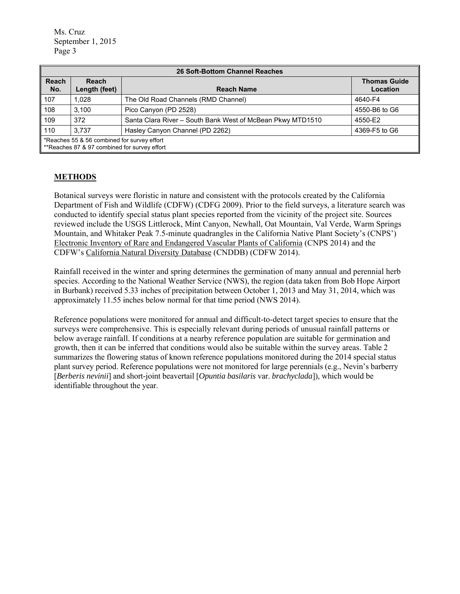| <b>26 Soft-Bottom Channel Reaches</b> |                                                                                             |                                                            |               |  |  |  |  |
|---------------------------------------|---------------------------------------------------------------------------------------------|------------------------------------------------------------|---------------|--|--|--|--|
| Reach<br>No.                          | <b>Reach</b><br>Length (feet)<br><b>Reach Name</b>                                          |                                                            |               |  |  |  |  |
| 107                                   | 1.028                                                                                       | The Old Road Channels (RMD Channel)                        | 4640-F4       |  |  |  |  |
| 108                                   | 3.100                                                                                       | Pico Canyon (PD 2528)                                      | 4550-B6 to G6 |  |  |  |  |
| 109                                   | 372                                                                                         | Santa Clara River - South Bank West of McBean Pkwy MTD1510 | 4550-E2       |  |  |  |  |
| $\blacksquare$ 110                    | 3.737                                                                                       | Hasley Canyon Channel (PD 2262)                            | 4369-F5 to G6 |  |  |  |  |
|                                       | *Reaches 55 & 56 combined for survey effort<br>**Reaches 87 & 97 combined for survey effort |                                                            |               |  |  |  |  |

## **METHODS**

Botanical surveys were floristic in nature and consistent with the protocols created by the California Department of Fish and Wildlife (CDFW) (CDFG 2009). Prior to the field surveys, a literature search was conducted to identify special status plant species reported from the vicinity of the project site. Sources reviewed include the USGS Littlerock, Mint Canyon, Newhall, Oat Mountain, Val Verde, Warm Springs Mountain, and Whitaker Peak 7.5-minute quadrangles in the California Native Plant Society's (CNPS') Electronic Inventory of Rare and Endangered Vascular Plants of California (CNPS 2014) and the CDFW's California Natural Diversity Database (CNDDB) (CDFW 2014).

Rainfall received in the winter and spring determines the germination of many annual and perennial herb species. According to the National Weather Service (NWS), the region (data taken from Bob Hope Airport in Burbank) received 5.33 inches of precipitation between October 1, 2013 and May 31, 2014, which was approximately 11.55 inches below normal for that time period (NWS 2014).

Reference populations were monitored for annual and difficult-to-detect target species to ensure that the surveys were comprehensive. This is especially relevant during periods of unusual rainfall patterns or below average rainfall. If conditions at a nearby reference population are suitable for germination and growth, then it can be inferred that conditions would also be suitable within the survey areas. Table 2 summarizes the flowering status of known reference populations monitored during the 2014 special status plant survey period. Reference populations were not monitored for large perennials (e.g., Nevin's barberry [*Berberis nevinii*] and short-joint beavertail [*Opuntia basilaris* var. *brachyclada*]), which would be identifiable throughout the year.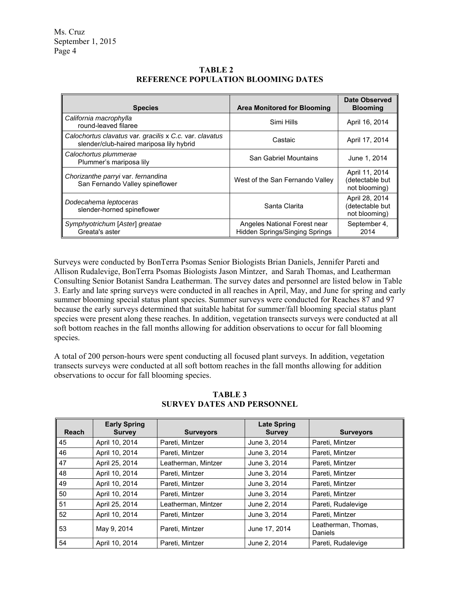| <b>Species</b>                                                                                      | <b>Area Monitored for Blooming</b>                                    | Date Observed<br><b>Blooming</b>                   |
|-----------------------------------------------------------------------------------------------------|-----------------------------------------------------------------------|----------------------------------------------------|
| California macrophylla<br>round-leaved filaree                                                      | Simi Hills                                                            | April 16, 2014                                     |
| Calochortus clavatus var. gracilis x C.c. var. clavatus<br>slender/club-haired mariposa lily hybrid | Castaic                                                               | April 17, 2014                                     |
| Calochortus plummerae<br>Plummer's mariposa lily                                                    | San Gabriel Mountains                                                 | June 1, 2014                                       |
| Chorizanthe parryi var. fernandina<br>San Fernando Valley spineflower                               | West of the San Fernando Valley                                       | April 11, 2014<br>(detectable but<br>not blooming) |
| Dodecahema leptoceras<br>slender-horned spineflower                                                 | Santa Clarita                                                         | April 28, 2014<br>(detectable but<br>not blooming) |
| Symphyotrichum [Aster] greatae<br>Greata's aster                                                    | Angeles National Forest near<br><b>Hidden Springs/Singing Springs</b> | September 4,<br>2014                               |

**TABLE 2 REFERENCE POPULATION BLOOMING DATES** 

Surveys were conducted by BonTerra Psomas Senior Biologists Brian Daniels, Jennifer Pareti and Allison Rudalevige, BonTerra Psomas Biologists Jason Mintzer, and Sarah Thomas, and Leatherman Consulting Senior Botanist Sandra Leatherman. The survey dates and personnel are listed below in Table 3. Early and late spring surveys were conducted in all reaches in April, May, and June for spring and early summer blooming special status plant species. Summer surveys were conducted for Reaches 87 and 97 because the early surveys determined that suitable habitat for summer/fall blooming special status plant species were present along these reaches. In addition, vegetation transects surveys were conducted at all soft bottom reaches in the fall months allowing for addition observations to occur for fall blooming species.

A total of 200 person-hours were spent conducting all focused plant surveys. In addition, vegetation transects surveys were conducted at all soft bottom reaches in the fall months allowing for addition observations to occur for fall blooming species.

| <b>Reach</b> | <b>Early Spring</b><br><b>Survey</b> | <b>Surveyors</b>    | <b>Late Spring</b><br><b>Survey</b> | <b>Surveyors</b>               |
|--------------|--------------------------------------|---------------------|-------------------------------------|--------------------------------|
| 45           | April 10, 2014                       | Pareti, Mintzer     | June 3, 2014                        | Pareti, Mintzer                |
| 46           | April 10, 2014                       | Pareti. Mintzer     | June 3, 2014                        | Pareti, Mintzer                |
| 47           | April 25, 2014                       | Leatherman, Mintzer | June 3, 2014                        | Pareti, Mintzer                |
| 48           | April 10, 2014                       | Pareti, Mintzer     | June 3, 2014                        | Pareti, Mintzer                |
| 49           | April 10, 2014                       | Pareti, Mintzer     | June 3, 2014                        | Pareti, Mintzer                |
| 50           | April 10, 2014                       | Pareti, Mintzer     | June 3, 2014                        | Pareti, Mintzer                |
| 51           | April 25, 2014                       | Leatherman, Mintzer | June 2, 2014                        | Pareti, Rudalevige             |
| 52           | April 10, 2014                       | Pareti, Mintzer     | June 3, 2014                        | Pareti. Mintzer                |
| 53           | May 9, 2014                          | Pareti. Mintzer     | June 17, 2014                       | Leatherman, Thomas,<br>Daniels |
| 54           | April 10, 2014                       | Pareti. Mintzer     | June 2, 2014                        | Pareti, Rudalevige             |

**TABLE 3 SURVEY DATES AND PERSONNEL**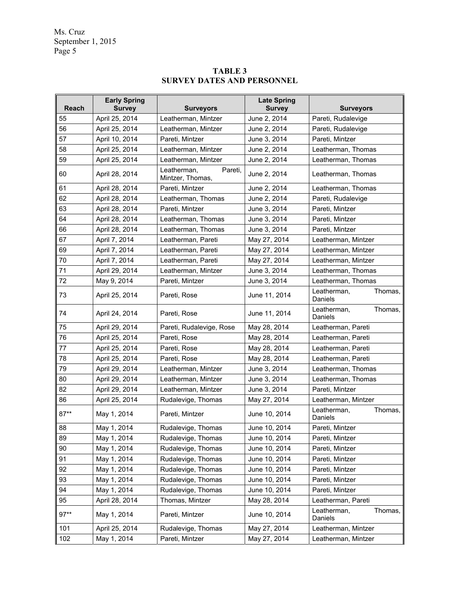# **TABLE 3 SURVEY DATES AND PERSONNEL**

| <b>Reach</b> | <b>Early Spring</b><br><b>Survey</b> | <b>Surveyors</b>                           | <b>Late Spring</b><br><b>Survey</b> | <b>Surveyors</b>                  |
|--------------|--------------------------------------|--------------------------------------------|-------------------------------------|-----------------------------------|
| 55           | April 25, 2014                       | Leatherman, Mintzer                        | June 2, 2014                        | Pareti, Rudalevige                |
| 56           | April 25, 2014                       | Leatherman, Mintzer                        | June 2, 2014                        | Pareti, Rudalevige                |
| 57           | April 10, 2014                       | Pareti, Mintzer                            | June 3, 2014                        | Pareti, Mintzer                   |
| 58           | April 25, 2014                       | Leatherman, Mintzer                        | June 2, 2014                        | Leatherman, Thomas                |
| 59           | April 25, 2014                       | Leatherman, Mintzer                        | June 2, 2014                        | Leatherman, Thomas                |
| 60           | April 28, 2014                       | Leatherman,<br>Pareti,<br>Mintzer, Thomas, | June 2, 2014                        | Leatherman, Thomas                |
| 61           | April 28, 2014                       | Pareti, Mintzer                            | June 2, 2014                        | Leatherman, Thomas                |
| 62           | April 28, 2014                       | Leatherman, Thomas                         | June 2, 2014                        | Pareti, Rudalevige                |
| 63           | April 28, 2014                       | Pareti, Mintzer                            | June 3, 2014                        | Pareti, Mintzer                   |
| 64           | April 28, 2014                       | Leatherman, Thomas                         | June 3, 2014                        | Pareti, Mintzer                   |
| 66           | April 28, 2014                       | Leatherman, Thomas                         | June 3, 2014                        | Pareti, Mintzer                   |
| 67           | April 7, 2014                        | Leatherman, Pareti                         | May 27, 2014                        | Leatherman, Mintzer               |
| 69           | April 7, 2014                        | Leatherman, Pareti                         | May 27, 2014                        | Leatherman, Mintzer               |
| 70           | April 7, 2014                        | Leatherman, Pareti                         | May 27, 2014                        | Leatherman, Mintzer               |
| 71           | April 29, 2014                       | Leatherman, Mintzer                        | June 3, 2014                        | Leatherman, Thomas                |
| 72           | May 9, 2014                          | Pareti, Mintzer                            | June 3, 2014                        | Leatherman, Thomas                |
| 73           | April 25, 2014                       | Pareti, Rose                               | June 11, 2014                       | Leatherman,<br>Thomas,<br>Daniels |
| 74           | April 24, 2014                       | Pareti. Rose                               | June 11, 2014                       | Leatherman,<br>Thomas,<br>Daniels |
| 75           | April 29, 2014                       | Pareti, Rudalevige, Rose                   | May 28, 2014                        | Leatherman, Pareti                |
| 76           | April 25, 2014                       | Pareti, Rose                               | May 28, 2014                        | Leatherman, Pareti                |
| 77           | April 25, 2014                       | Pareti, Rose                               | May 28, 2014                        | Leatherman, Pareti                |
| 78           | April 25, 2014                       | Pareti, Rose                               | May 28, 2014                        | Leatherman, Pareti                |
| 79           | April 29, 2014                       | Leatherman, Mintzer                        | June 3, 2014                        | Leatherman, Thomas                |
| 80           | April 29, 2014                       | Leatherman, Mintzer                        | June 3, 2014                        | Leatherman, Thomas                |
| 82           | April 29, 2014                       | Leatherman, Mintzer                        | June 3, 2014                        | Pareti, Mintzer                   |
| 86           | April 25, 2014                       | Rudalevige, Thomas                         | May 27, 2014                        | Leatherman, Mintzer               |
| $87**$       | May 1, 2014                          | Pareti, Mintzer                            | June 10, 2014                       | Leatherman,<br>Thomas,<br>Daniels |
| 88           | May 1, 2014                          | Rudalevige, Thomas                         | June 10, 2014                       | Pareti, Mintzer                   |
| 89           | May 1, 2014                          | Rudalevige, Thomas                         | June 10, 2014                       | Pareti, Mintzer                   |
| 90           | May 1, 2014                          | Rudalevige, Thomas                         | June 10, 2014                       | Pareti, Mintzer                   |
| 91           | May 1, 2014                          | Rudalevige, Thomas                         | June 10, 2014                       | Pareti, Mintzer                   |
| 92           | May 1, 2014                          | Rudalevige, Thomas                         | June 10, 2014                       | Pareti, Mintzer                   |
| 93           | May 1, 2014                          | Rudalevige, Thomas                         | June 10, 2014                       | Pareti, Mintzer                   |
| 94           | May 1, 2014                          | Rudalevige, Thomas                         | June 10, 2014                       | Pareti, Mintzer                   |
| 95           | April 28, 2014                       | Thomas, Mintzer                            | May 28, 2014                        | Leatherman, Pareti                |
| $97**$       | May 1, 2014                          | Pareti, Mintzer                            | June 10, 2014                       | Leatherman,<br>Thomas,<br>Daniels |
| 101          | April 25, 2014                       | Rudalevige, Thomas                         | May 27, 2014                        | Leatherman, Mintzer               |
| 102          | May 1, 2014                          | Pareti, Mintzer                            | May 27, 2014                        | Leatherman, Mintzer               |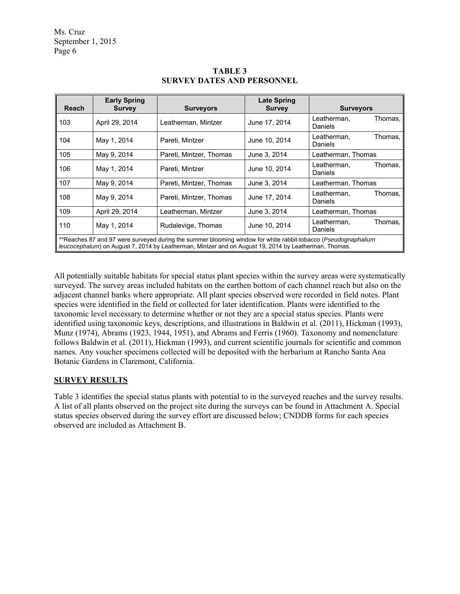| Reach                                                                                                                                                                                                                   | <b>Early Spring</b><br><b>Survey</b> | <b>Surveyors</b>        | <b>Late Spring</b><br><b>Survey</b> | <b>Surveyors</b>                  |  |  |
|-------------------------------------------------------------------------------------------------------------------------------------------------------------------------------------------------------------------------|--------------------------------------|-------------------------|-------------------------------------|-----------------------------------|--|--|
| 103                                                                                                                                                                                                                     | April 29, 2014                       | Leatherman, Mintzer     | June 17, 2014                       | Leatherman,<br>Thomas,<br>Daniels |  |  |
| 104                                                                                                                                                                                                                     | May 1, 2014                          | Pareti, Mintzer         | June 10, 2014                       | Leatherman,<br>Thomas,<br>Daniels |  |  |
| 105                                                                                                                                                                                                                     | May 9, 2014                          | Pareti, Mintzer, Thomas | June 3, 2014                        | Leatherman, Thomas                |  |  |
| 106                                                                                                                                                                                                                     | May 1, 2014                          | Pareti, Mintzer         | June 10, 2014                       | Leatherman.<br>Thomas,<br>Daniels |  |  |
| 107                                                                                                                                                                                                                     | May 9, 2014                          | Pareti, Mintzer, Thomas | June 3, 2014                        | Leatherman, Thomas                |  |  |
| 108                                                                                                                                                                                                                     | May 9, 2014                          | Pareti, Mintzer, Thomas | June 17, 2014                       | Leatherman.<br>Thomas,<br>Daniels |  |  |
| 109                                                                                                                                                                                                                     | April 29, 2014                       | Leatherman, Mintzer     | June 3, 2014                        | Leatherman, Thomas                |  |  |
| 110                                                                                                                                                                                                                     | May 1, 2014                          | Rudalevige, Thomas      | June 10, 2014                       | Leatherman,<br>Thomas,<br>Daniels |  |  |
| **Reaches 87 and 97 were surveyed during the summer blooming window for white rabbit-tobacco (Pseudognaphalium<br>leucocephalum) on August 7, 2014 by Leatherman, Mintzer and on August 19, 2014 by Leatherman, Thomas. |                                      |                         |                                     |                                   |  |  |

## **TABLE 3 SURVEY DATES AND PERSONNEL**

All potentially suitable habitats for special status plant species within the survey areas were systematically surveyed. The survey areas included habitats on the earthen bottom of each channel reach but also on the adjacent channel banks where appropriate. All plant species observed were recorded in field notes. Plant species were identified in the field or collected for later identification. Plants were identified to the taxonomic level necessary to determine whether or not they are a special status species. Plants were identified using taxonomic keys, descriptions, and illustrations in Baldwin et al. (2011), Hickman (1993), Munz (1974), Abrams (1923, 1944, 1951), and Abrams and Ferris (1960). Taxonomy and nomenclature follows Baldwin et al. (2011), Hickman (1993), and current scientific journals for scientific and common names. Any voucher specimens collected will be deposited with the herbarium at Rancho Santa Ana Botanic Gardens in Claremont, California.

# **SURVEY RESULTS**

Table 3 identifies the special status plants with potential to in the surveyed reaches and the survey results. A list of all plants observed on the project site during the surveys can be found in Attachment A. Special status species observed during the survey effort are discussed below; CNDDB forms for each species observed are included as Attachment B.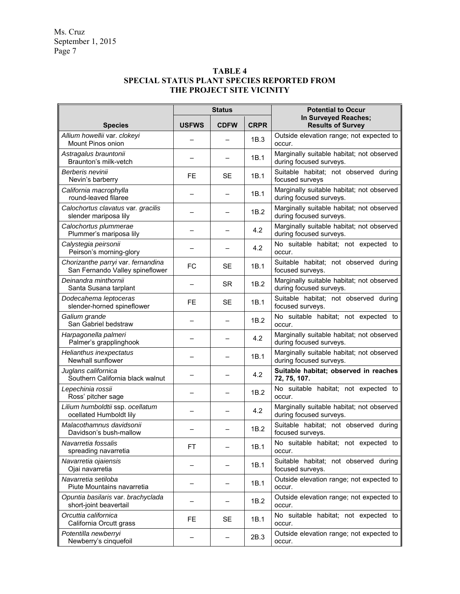### **TABLE 4 SPECIAL STATUS PLANT SPECIES REPORTED FROM THE PROJECT SITE VICINITY**

|                                                                       | <b>Status</b> |             |             | <b>Potential to Occur</b>                                            |  |
|-----------------------------------------------------------------------|---------------|-------------|-------------|----------------------------------------------------------------------|--|
| <b>Species</b>                                                        | <b>USFWS</b>  | <b>CDFW</b> | <b>CRPR</b> | In Surveyed Reaches;<br><b>Results of Survey</b>                     |  |
| Allium howellii var. clokeyi<br>Mount Pinos onion                     |               |             | 1B.3        | Outside elevation range; not expected to<br>occur.                   |  |
| Astragalus brauntonii<br>Braunton's milk-vetch                        |               |             | 1B.1        | Marginally suitable habitat; not observed<br>during focused surveys. |  |
| Berberis nevinii<br>Nevin's barberry                                  | <b>FE</b>     | <b>SE</b>   | 1B.1        | Suitable habitat; not observed during<br>focused surveys             |  |
| California macrophylla<br>round-leaved filaree                        | —             |             | 1B.1        | Marginally suitable habitat; not observed<br>during focused surveys. |  |
| Calochortus clavatus var. gracilis<br>slender mariposa lily           |               |             | 1B.2        | Marginally suitable habitat; not observed<br>during focused surveys. |  |
| Calochortus plummerae<br>Plummer's mariposa lily                      |               |             | 4.2         | Marginally suitable habitat; not observed<br>during focused surveys. |  |
| Calystegia peirsonii<br>Peirson's morning-glory                       |               |             | 4.2         | No suitable habitat; not expected to<br>occur.                       |  |
| Chorizanthe parryi var. fernandina<br>San Fernando Valley spineflower | <b>FC</b>     | <b>SE</b>   | 1B.1        | Suitable habitat; not observed during<br>focused surveys.            |  |
| Deinandra minthornii<br>Santa Susana tarplant                         |               | <b>SR</b>   | 1B.2        | Marginally suitable habitat; not observed<br>during focused surveys. |  |
| Dodecahema leptoceras<br>slender-horned spineflower                   | <b>FE</b>     | <b>SE</b>   | 1B.1        | Suitable habitat; not observed during<br>focused surveys.            |  |
| Galium grande<br>San Gabriel bedstraw                                 |               |             | 1B.2        | No suitable habitat; not expected to<br>occur.                       |  |
| Harpagonella palmeri<br>Palmer's grapplinghook                        |               |             | 4.2         | Marginally suitable habitat; not observed<br>during focused surveys. |  |
| Helianthus inexpectatus<br>Newhall sunflower                          |               |             | 1B.1        | Marginally suitable habitat; not observed<br>during focused surveys. |  |
| Juglans californica<br>Southern California black walnut               |               |             | 4.2         | Suitable habitat; observed in reaches<br>72, 75, 107.                |  |
| Lepechinia rossii<br>Ross' pitcher sage                               |               |             | 1B.2        | No suitable habitat; not expected to<br>occur.                       |  |
| Lilium humboldtii ssp. ocellatum<br>ocellated Humboldt lily           |               |             | 4.2         | Marginally suitable habitat; not observed<br>during focused surveys. |  |
| Malacothamnus davidsonii<br>Davidson's bush-mallow                    |               |             | 1B.2        | Suitable habitat; not observed during<br>focused surveys.            |  |
| Navarretia fossalis<br>spreading navarretia                           | <b>FT</b>     |             | 1B.1        | No suitable habitat; not expected to<br>occur.                       |  |
| Navarretia ojaiensis<br>Ojai navarretia                               |               |             | 1B.1        | Suitable habitat; not observed during<br>focused surveys.            |  |
| Navarretia setiloba<br>Piute Mountains navarretia                     |               |             | 1B.1        | Outside elevation range; not expected to<br>occur.                   |  |
| Opuntia basilaris var. brachyclada<br>short-joint beavertail          |               |             | 1B.2        | Outside elevation range; not expected to<br>occur.                   |  |
| Orcuttia californica<br>California Orcutt grass                       | FE            | <b>SE</b>   | 1B.1        | No suitable habitat; not expected to<br>occur.                       |  |
| Potentilla newberryi<br>Newberry's cinquefoil                         |               |             | 2B.3        | Outside elevation range; not expected to<br>occur.                   |  |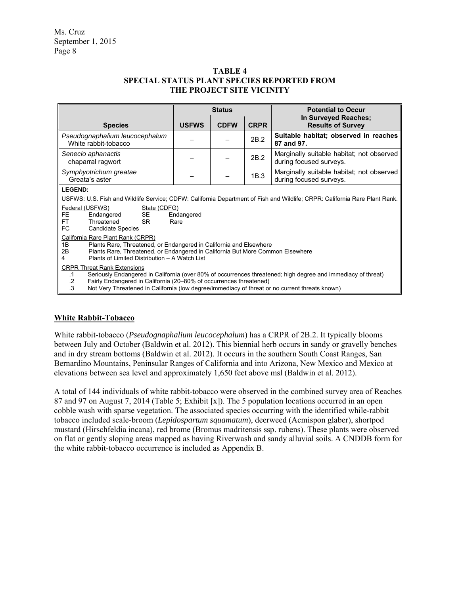#### **TABLE 4 SPECIAL STATUS PLANT SPECIES REPORTED FROM THE PROJECT SITE VICINITY**

|                                                                                                                                                                                                                                                                                                                                                                                                                                                                                                                                                                                                                                                                                                | <b>Status</b>      |             |             | <b>Potential to Occur</b>                                                                                                                                                                                                                  |  |
|------------------------------------------------------------------------------------------------------------------------------------------------------------------------------------------------------------------------------------------------------------------------------------------------------------------------------------------------------------------------------------------------------------------------------------------------------------------------------------------------------------------------------------------------------------------------------------------------------------------------------------------------------------------------------------------------|--------------------|-------------|-------------|--------------------------------------------------------------------------------------------------------------------------------------------------------------------------------------------------------------------------------------------|--|
| <b>Species</b>                                                                                                                                                                                                                                                                                                                                                                                                                                                                                                                                                                                                                                                                                 | <b>USFWS</b>       | <b>CDFW</b> | <b>CRPR</b> | In Surveyed Reaches;<br><b>Results of Survey</b>                                                                                                                                                                                           |  |
| Pseudognaphalium leucocephalum<br>White rabbit-tobacco                                                                                                                                                                                                                                                                                                                                                                                                                                                                                                                                                                                                                                         |                    |             | 2B.2        | Suitable habitat; observed in reaches<br>87 and 97.                                                                                                                                                                                        |  |
| Senecio aphanactis<br>chaparral ragwort                                                                                                                                                                                                                                                                                                                                                                                                                                                                                                                                                                                                                                                        |                    |             | 2B.2        | Marginally suitable habitat; not observed<br>during focused surveys.                                                                                                                                                                       |  |
| Symphyotrichum greatae<br>Greata's aster                                                                                                                                                                                                                                                                                                                                                                                                                                                                                                                                                                                                                                                       |                    |             | 1B.3        | Marginally suitable habitat; not observed<br>during focused surveys.                                                                                                                                                                       |  |
| <b>LEGEND:</b><br>Federal (USFWS)<br>State (CDFG)<br><b>SE</b><br><b>FE</b><br>Endangered<br>Threatened<br><b>SR</b><br><b>FT</b><br><b>FC</b><br><b>Candidate Species</b><br>California Rare Plant Rank (CRPR)<br>1B<br>Plants Rare, Threatened, or Endangered in California and Elsewhere<br>Plants Rare, Threatened, or Endangered in California But More Common Elsewhere<br>2B<br>Plants of Limited Distribution - A Watch List<br>4<br><b>CRPR Threat Rank Extensions</b><br>$\cdot$ 1<br>Fairly Endangered in California (20-80% of occurrences threatened)<br>$\cdot$ 2<br>$\cdot$ 3<br>Not Very Threatened in California (low degree/immediacy of threat or no current threats known) | Endangered<br>Rare |             |             | USFWS: U.S. Fish and Wildlife Service; CDFW: California Department of Fish and Wildlife; CRPR: California Rare Plant Rank.<br>Seriously Endangered in California (over 80% of occurrences threatened; high degree and immediacy of threat) |  |

### **White Rabbit-Tobacco**

White rabbit-tobacco (*Pseudognaphalium leucocephalum*) has a CRPR of 2B.2. It typically blooms between July and October (Baldwin et al. 2012). This biennial herb occurs in sandy or gravelly benches and in dry stream bottoms (Baldwin et al. 2012). It occurs in the southern South Coast Ranges, San Bernardino Mountains, Peninsular Ranges of California and into Arizona, New Mexico and Mexico at elevations between sea level and approximately 1,650 feet above msl (Baldwin et al. 2012).

A total of 144 individuals of white rabbit-tobacco were observed in the combined survey area of Reaches 87 and 97 on August 7, 2014 (Table 5; Exhibit [x]). The 5 population locations occurred in an open cobble wash with sparse vegetation. The associated species occurring with the identified while-rabbit tobacco included scale-broom (*Lepidospartum squamatum*), deerweed (Acmispon glaber), shortpod mustard (Hirschfeldia incana), red brome (Bromus madritensis ssp. rubens). These plants were observed on flat or gently sloping areas mapped as having Riverwash and sandy alluvial soils. A CNDDB form for the white rabbit-tobacco occurrence is included as Appendix B.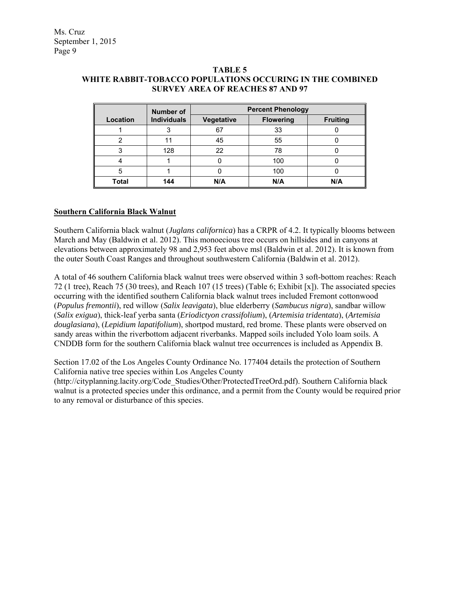| <b>Number of</b> |                    | <b>Percent Phenology</b> |                  |                 |  |  |
|------------------|--------------------|--------------------------|------------------|-----------------|--|--|
| Location         | <b>Individuals</b> | Vegetative               | <b>Flowering</b> | <b>Fruiting</b> |  |  |
|                  |                    | 67                       | 33               |                 |  |  |
|                  |                    | 45                       | 55               |                 |  |  |
|                  | 128                | 22                       | 78               |                 |  |  |
|                  |                    |                          | 100              |                 |  |  |
|                  |                    |                          | 100              |                 |  |  |
| <b>Total</b>     | 144                | N/A                      | N/A              | N/A             |  |  |

#### **TABLE 5 WHITE RABBIT-TOBACCO POPULATIONS OCCURING IN THE COMBINED SURVEY AREA OF REACHES 87 AND 97**

#### **Southern California Black Walnut**

Southern California black walnut (*Juglans californica*) has a CRPR of 4.2. It typically blooms between March and May (Baldwin et al. 2012). This monoecious tree occurs on hillsides and in canyons at elevations between approximately 98 and 2,953 feet above msl (Baldwin et al. 2012). It is known from the outer South Coast Ranges and throughout southwestern California (Baldwin et al. 2012).

A total of 46 southern California black walnut trees were observed within 3 soft-bottom reaches: Reach 72 (1 tree), Reach 75 (30 trees), and Reach 107 (15 trees) (Table 6; Exhibit [x]). The associated species occurring with the identified southern California black walnut trees included Fremont cottonwood (*Populus fremontii*), red willow (*Salix leavigata*), blue elderberry (*Sambucus nigra*), sandbar willow (*Salix exigua*), thick-leaf yerba santa (*Eriodictyon crassifolium*), (*Artemisia tridentata*), (*Artemisia douglasiana*), (*Lepidium lapatifolium*), shortpod mustard, red brome. These plants were observed on sandy areas within the riverbottom adjacent riverbanks. Mapped soils included Yolo loam soils. A CNDDB form for the southern California black walnut tree occurrences is included as Appendix B.

Section 17.02 of the Los Angeles County Ordinance No. 177404 details the protection of Southern California native tree species within Los Angeles County (http://cityplanning.lacity.org/Code\_Studies/Other/ProtectedTreeOrd.pdf). Southern California black

walnut is a protected species under this ordinance, and a permit from the County would be required prior to any removal or disturbance of this species.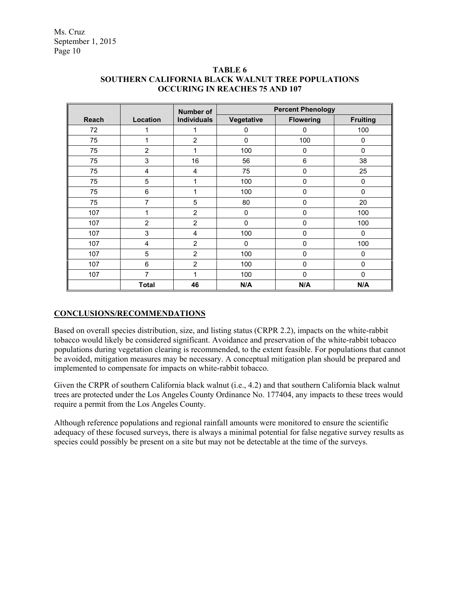|              |                | <b>Number of</b>   | <b>Percent Phenology</b> |                  |                 |  |
|--------------|----------------|--------------------|--------------------------|------------------|-----------------|--|
| <b>Reach</b> | Location       | <b>Individuals</b> | Vegetative               | <b>Flowering</b> | <b>Fruiting</b> |  |
| 72           | 1              | 1                  | 0                        | 0                | 100             |  |
| 75           | 1              | 2                  | $\mathbf 0$              | 100              | 0               |  |
| 75           | $\overline{2}$ | 1                  | 100                      | 0                | $\Omega$        |  |
| 75           | 3              | 16                 | 56                       | 6                | 38              |  |
| 75           | 4              | 4                  | 75                       | 0                | 25              |  |
| 75           | 5              | 1                  | 100                      | 0                | $\mathbf 0$     |  |
| 75           | 6              | 1                  | 100                      | 0                | $\Omega$        |  |
| 75           | 7              | 5                  | 80                       | 0                | 20              |  |
| 107          | 1              | $\overline{2}$     | 0                        | 0                | 100             |  |
| 107          | $\overline{2}$ | $\overline{2}$     | 0                        | $\mathbf 0$      | 100             |  |
| 107          | 3              | 4                  | 100                      | $\mathbf 0$      | 0               |  |
| 107          | 4              | $\overline{2}$     | $\mathbf{0}$             | $\mathbf 0$      | 100             |  |
| 107          | 5              | $\overline{2}$     | 100                      | $\mathbf 0$      | 0               |  |
| 107          | 6              | $\overline{2}$     | 100                      | $\mathbf 0$      | $\mathbf 0$     |  |
| 107          | 7              |                    | 100                      | $\mathbf 0$      | $\mathbf{0}$    |  |
|              | <b>Total</b>   | 46                 | N/A                      | N/A              | N/A             |  |

### **TABLE 6 SOUTHERN CALIFORNIA BLACK WALNUT TREE POPULATIONS OCCURING IN REACHES 75 AND 107**

### **CONCLUSIONS/RECOMMENDATIONS**

Based on overall species distribution, size, and listing status (CRPR 2.2), impacts on the white-rabbit tobacco would likely be considered significant. Avoidance and preservation of the white-rabbit tobacco populations during vegetation clearing is recommended, to the extent feasible. For populations that cannot be avoided, mitigation measures may be necessary. A conceptual mitigation plan should be prepared and implemented to compensate for impacts on white-rabbit tobacco.

Given the CRPR of southern California black walnut (i.e., 4.2) and that southern California black walnut trees are protected under the Los Angeles County Ordinance No. 177404, any impacts to these trees would require a permit from the Los Angeles County.

Although reference populations and regional rainfall amounts were monitored to ensure the scientific adequacy of these focused surveys, there is always a minimal potential for false negative survey results as species could possibly be present on a site but may not be detectable at the time of the surveys.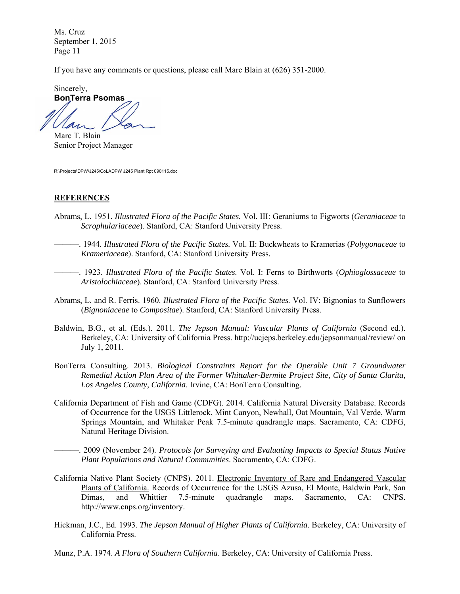If you have any comments or questions, please call Marc Blain at (626) 351-2000.

Sincerely, **BonTerra Psomas**  Lan

Marc T. Blain Senior Project Manager

R:\Projects\DPW\J245\CoLADPW J245 Plant Rpt 090115.doc

#### **REFERENCES**

- Abrams, L. 1951. *Illustrated Flora of the Pacific States.* Vol. III: Geraniums to Figworts (*Geraniaceae* to *Scrophulariaceae*). Stanford, CA: Stanford University Press.
- ———. 1944. *Illustrated Flora of the Pacific States.* Vol. II: Buckwheats to Kramerias (*Polygonaceae* to *Krameriaceae*). Stanford, CA: Stanford University Press.
- ———. 1923. *Illustrated Flora of the Pacific States.* Vol. I: Ferns to Birthworts (*Ophioglossaceae* to *Aristolochiaceae*). Stanford, CA: Stanford University Press.
- Abrams, L. and R. Ferris. 1960. *Illustrated Flora of the Pacific States.* Vol. IV: Bignonias to Sunflowers (*Bignoniaceae* to *Compositae*). Stanford, CA: Stanford University Press.
- Baldwin, B.G., et al. (Eds.). 2011. *The Jepson Manual: Vascular Plants of California* (Second ed.). Berkeley, CA: University of California Press. http://ucjeps.berkeley.edu/jepsonmanual/review/ on July 1, 2011.
- BonTerra Consulting. 2013. *Biological Constraints Report for the Operable Unit 7 Groundwater Remedial Action Plan Area of the Former Whittaker-Bermite Project Site, City of Santa Clarita, Los Angeles County, California*. Irvine, CA: BonTerra Consulting.
- California Department of Fish and Game (CDFG). 2014. California Natural Diversity Database. Records of Occurrence for the USGS Littlerock, Mint Canyon, Newhall, Oat Mountain, Val Verde, Warm Springs Mountain, and Whitaker Peak 7.5-minute quadrangle maps. Sacramento, CA: CDFG, Natural Heritage Division.

———. 2009 (November 24). *Protocols for Surveying and Evaluating Impacts to Special Status Native Plant Populations and Natural Communities*. Sacramento, CA: CDFG.

- California Native Plant Society (CNPS). 2011. Electronic Inventory of Rare and Endangered Vascular Plants of California. Records of Occurrence for the USGS Azusa, El Monte, Baldwin Park, San Dimas, and Whittier 7.5-minute quadrangle maps. Sacramento, CA: CNPS. http://www.cnps.org/inventory.
- Hickman, J.C., Ed. 1993. *The Jepson Manual of Higher Plants of California*. Berkeley, CA: University of California Press.
- Munz, P.A. 1974. *A Flora of Southern California*. Berkeley, CA: University of California Press.